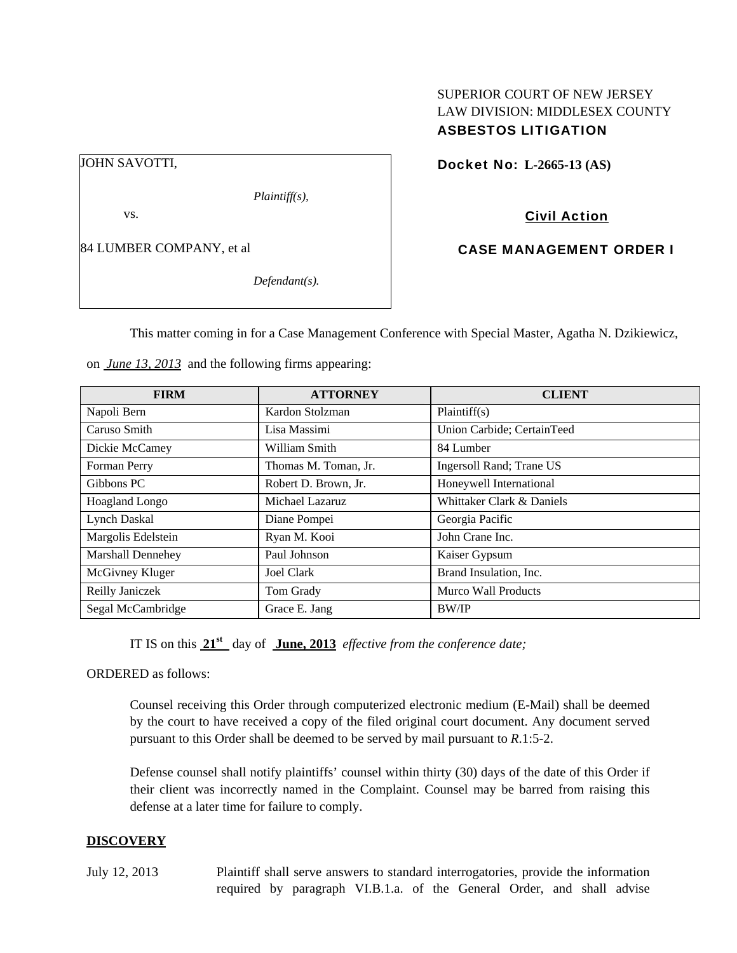# SUPERIOR COURT OF NEW JERSEY LAW DIVISION: MIDDLESEX COUNTY ASBESTOS LITIGATION

Docket No: **L-2665-13 (AS)** 

Civil Action

CASE MANAGEMENT ORDER I

84 LUMBER COMPANY, et al

*Defendant(s).* 

*Plaintiff(s),* 

This matter coming in for a Case Management Conference with Special Master, Agatha N. Dzikiewicz,

on *June 13, 2013* and the following firms appearing:

| <b>FIRM</b>        | <b>ATTORNEY</b>      | <b>CLIENT</b>              |
|--------------------|----------------------|----------------------------|
| Napoli Bern        | Kardon Stolzman      | Plaintiff(s)               |
| Caruso Smith       | Lisa Massimi         | Union Carbide; CertainTeed |
| Dickie McCamey     | William Smith        | 84 Lumber                  |
| Forman Perry       | Thomas M. Toman, Jr. | Ingersoll Rand; Trane US   |
| Gibbons PC         | Robert D. Brown, Jr. | Honeywell International    |
| Hoagland Longo     | Michael Lazaruz      | Whittaker Clark & Daniels  |
| Lynch Daskal       | Diane Pompei         | Georgia Pacific            |
| Margolis Edelstein | Ryan M. Kooi         | John Crane Inc.            |
| Marshall Dennehey  | Paul Johnson         | Kaiser Gypsum              |
| McGivney Kluger    | Joel Clark           | Brand Insulation, Inc.     |
| Reilly Janiczek    | Tom Grady            | <b>Murco Wall Products</b> |
| Segal McCambridge  | Grace E. Jang        | <b>BW/IP</b>               |

IT IS on this **21st** day of **June, 2013** *effective from the conference date;*

ORDERED as follows:

Counsel receiving this Order through computerized electronic medium (E-Mail) shall be deemed by the court to have received a copy of the filed original court document. Any document served pursuant to this Order shall be deemed to be served by mail pursuant to *R*.1:5-2.

Defense counsel shall notify plaintiffs' counsel within thirty (30) days of the date of this Order if their client was incorrectly named in the Complaint. Counsel may be barred from raising this defense at a later time for failure to comply.

## **DISCOVERY**

July 12, 2013 Plaintiff shall serve answers to standard interrogatories, provide the information required by paragraph VI.B.1.a. of the General Order, and shall advise

JOHN SAVOTTI,

vs.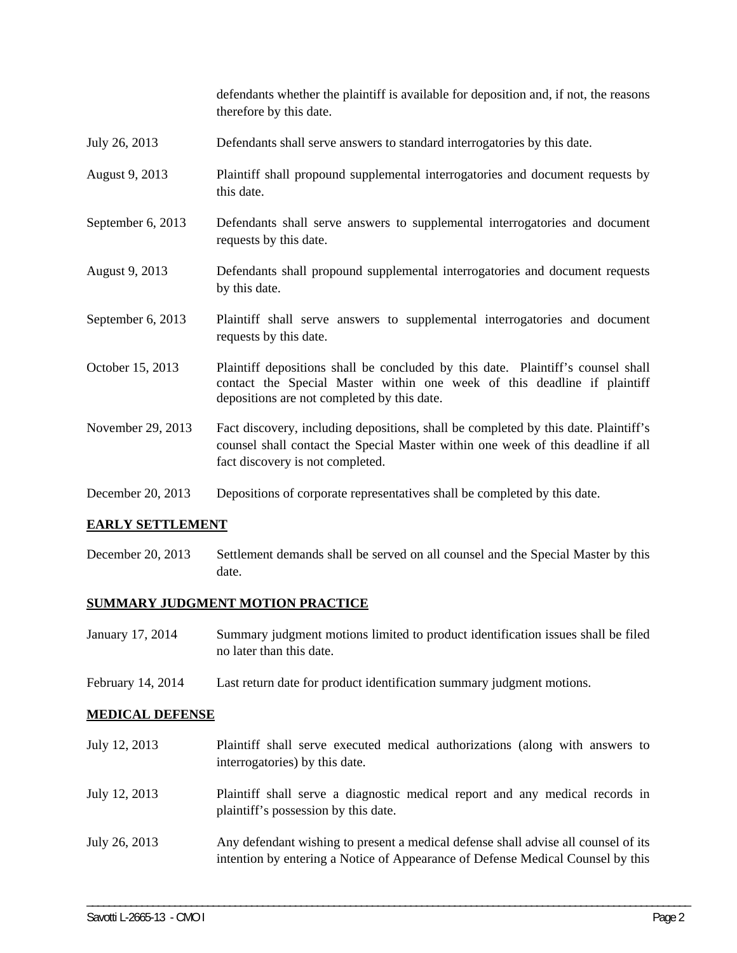defendants whether the plaintiff is available for deposition and, if not, the reasons therefore by this date.

- July 26, 2013 Defendants shall serve answers to standard interrogatories by this date.
- August 9, 2013 Plaintiff shall propound supplemental interrogatories and document requests by this date.
- September 6, 2013 Defendants shall serve answers to supplemental interrogatories and document requests by this date.
- August 9, 2013 Defendants shall propound supplemental interrogatories and document requests by this date.
- September 6, 2013 Plaintiff shall serve answers to supplemental interrogatories and document requests by this date.
- October 15, 2013 Plaintiff depositions shall be concluded by this date. Plaintiff's counsel shall contact the Special Master within one week of this deadline if plaintiff depositions are not completed by this date.
- November 29, 2013 Fact discovery, including depositions, shall be completed by this date. Plaintiff's counsel shall contact the Special Master within one week of this deadline if all fact discovery is not completed.
- December 20, 2013 Depositions of corporate representatives shall be completed by this date.

## **EARLY SETTLEMENT**

December 20, 2013 Settlement demands shall be served on all counsel and the Special Master by this date.

## **SUMMARY JUDGMENT MOTION PRACTICE**

- January 17, 2014 Summary judgment motions limited to product identification issues shall be filed no later than this date.
- February 14, 2014 Last return date for product identification summary judgment motions.

## **MEDICAL DEFENSE**

July 12, 2013 Plaintiff shall serve executed medical authorizations (along with answers to interrogatories) by this date. July 12, 2013 Plaintiff shall serve a diagnostic medical report and any medical records in plaintiff's possession by this date. July 26, 2013 Any defendant wishing to present a medical defense shall advise all counsel of its intention by entering a Notice of Appearance of Defense Medical Counsel by this

\_\_\_\_\_\_\_\_\_\_\_\_\_\_\_\_\_\_\_\_\_\_\_\_\_\_\_\_\_\_\_\_\_\_\_\_\_\_\_\_\_\_\_\_\_\_\_\_\_\_\_\_\_\_\_\_\_\_\_\_\_\_\_\_\_\_\_\_\_\_\_\_\_\_\_\_\_\_\_\_\_\_\_\_\_\_\_\_\_\_\_\_\_\_\_\_\_\_\_\_\_\_\_\_\_\_\_\_\_\_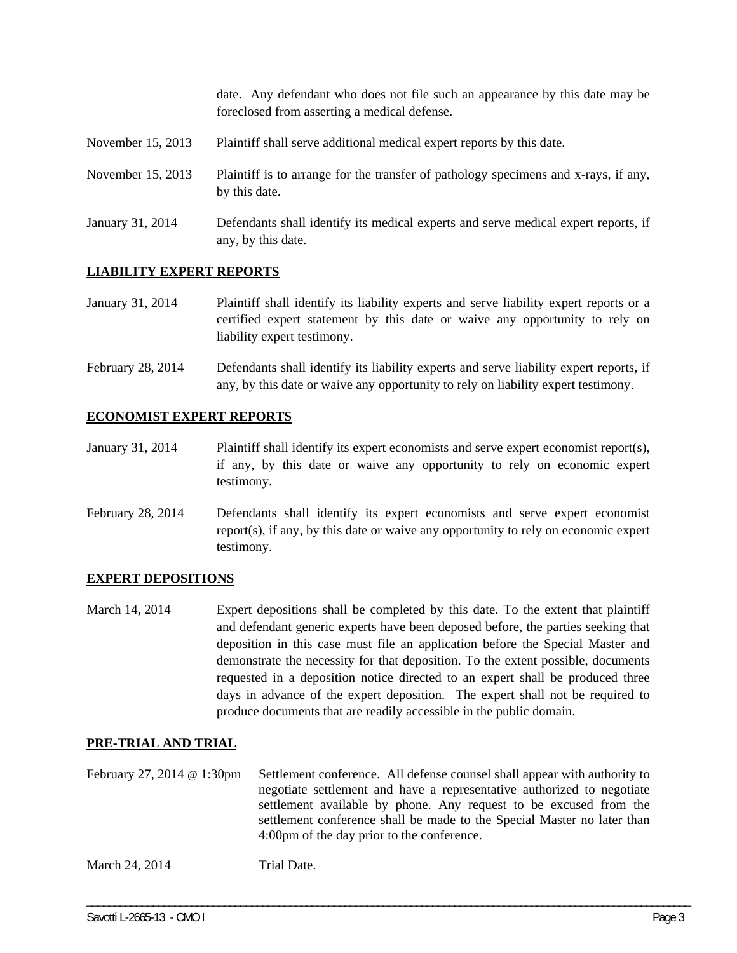date. Any defendant who does not file such an appearance by this date may be foreclosed from asserting a medical defense.

- November 15, 2013 Plaintiff shall serve additional medical expert reports by this date.
- November 15, 2013 Plaintiff is to arrange for the transfer of pathology specimens and x-rays, if any, by this date.
- January 31, 2014 Defendants shall identify its medical experts and serve medical expert reports, if any, by this date.

## **LIABILITY EXPERT REPORTS**

- January 31, 2014 Plaintiff shall identify its liability experts and serve liability expert reports or a certified expert statement by this date or waive any opportunity to rely on liability expert testimony.
- February 28, 2014 Defendants shall identify its liability experts and serve liability expert reports, if any, by this date or waive any opportunity to rely on liability expert testimony.

## **ECONOMIST EXPERT REPORTS**

- January 31, 2014 Plaintiff shall identify its expert economists and serve expert economist report(s), if any, by this date or waive any opportunity to rely on economic expert testimony.
- February 28, 2014 Defendants shall identify its expert economists and serve expert economist report(s), if any, by this date or waive any opportunity to rely on economic expert testimony.

## **EXPERT DEPOSITIONS**

March 14, 2014 Expert depositions shall be completed by this date. To the extent that plaintiff and defendant generic experts have been deposed before, the parties seeking that deposition in this case must file an application before the Special Master and demonstrate the necessity for that deposition. To the extent possible, documents requested in a deposition notice directed to an expert shall be produced three days in advance of the expert deposition. The expert shall not be required to produce documents that are readily accessible in the public domain.

## **PRE-TRIAL AND TRIAL**

February 27, 2014 @ 1:30pm Settlement conference. All defense counsel shall appear with authority to negotiate settlement and have a representative authorized to negotiate settlement available by phone. Any request to be excused from the settlement conference shall be made to the Special Master no later than 4:00pm of the day prior to the conference.

\_\_\_\_\_\_\_\_\_\_\_\_\_\_\_\_\_\_\_\_\_\_\_\_\_\_\_\_\_\_\_\_\_\_\_\_\_\_\_\_\_\_\_\_\_\_\_\_\_\_\_\_\_\_\_\_\_\_\_\_\_\_\_\_\_\_\_\_\_\_\_\_\_\_\_\_\_\_\_\_\_\_\_\_\_\_\_\_\_\_\_\_\_\_\_\_\_\_\_\_\_\_\_\_\_\_\_\_\_\_

March 24, 2014 Trial Date.